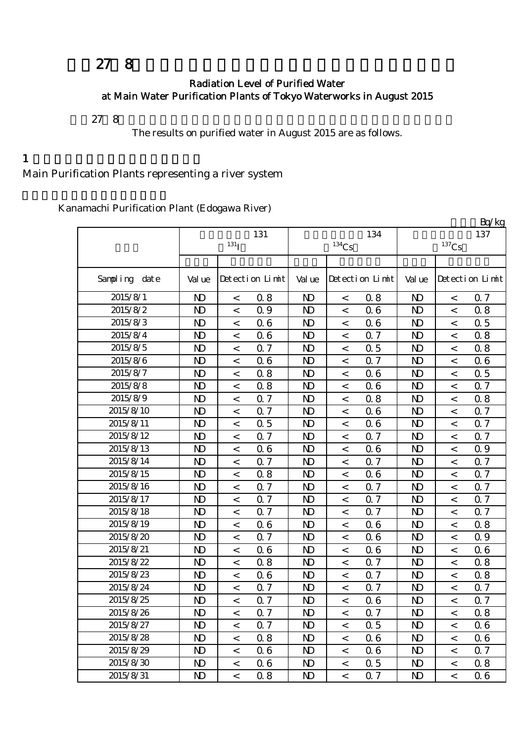# 平成27年8月の主要浄水場の水道水の放射能測定結果について

#### Radiation Level of Purified Water at Main Water Purification Plants of Tokyo Waterworks in August 2015

平成27年8月の主要浄水場の浄水(水道水)の放射能測定結果をお知らせします。

The results on purified water in August 2015 are as follows.

#### $1$

Main Purification Plants representing a river system

Kanamachi Purification Plant (Edogawa River)

|                  |                |                          |                 |                |                     |                 |                |                     | Bq/kg           |
|------------------|----------------|--------------------------|-----------------|----------------|---------------------|-----------------|----------------|---------------------|-----------------|
|                  |                |                          | 131             |                |                     | 134             |                |                     | 137             |
|                  |                | $131$ <sup>T</sup>       |                 |                | $^{134}\mathrm{Cs}$ |                 |                | $^{137}\mathrm{Cs}$ |                 |
|                  |                |                          |                 |                |                     |                 |                |                     |                 |
| Sampling<br>date | Val ue         |                          | Detection Limit | Val ue         |                     | Detection Limit | Val ue         |                     | Detection Limit |
| 2015/8/1         | N <sub>D</sub> | $\,<\,$                  | 0.8             | N <sub>D</sub> | $\,<$               | 0.8             | N <sub>D</sub> | $\,<$               | 0.7             |
| 2015/8/2         | N <sub>D</sub> | $\overline{\phantom{a}}$ | 0.9             | N <sub>D</sub> | $\,<\,$             | 06              | N <sub>D</sub> | $\overline{a}$      | 0.8             |
| 2015/8/3         | N <sub>D</sub> | $\,<\,$                  | 06              | N <sub>D</sub> | $\,<$               | 06              | N <sub>D</sub> | $\,<$               | 0.5             |
| 2015/8/4         | $\mathbf{D}$   | $\,<\,$                  | 06              | $\mathbf{D}$   | $\,<$               | Q <sub>7</sub>  | $\mathbf{D}$   | $\,<$               | 0.8             |
| 2015/8/5         | N <sub>D</sub> | $\,<\,$                  | 0.7             | N <sub>D</sub> | $\,<$               | 0.5             | N <sub>D</sub> | $\,<$               | 0.8             |
| 2015/8/6         | N <sub>D</sub> | $\,<\,$                  | 06              | N <sub>D</sub> | $\,<$               | 0.7             | N <sub>D</sub> | $\,<$               | 0.6             |
| 2015/8/7         | N <sub>D</sub> | $\,<$                    | 0.8             | N <sub>D</sub> | $\,<\,$             | 06              | N <sub>D</sub> | $\,<$               | 0.5             |
| 2015/8/8         | $\mathbf{D}$   | $\,<$                    | 0.8             | N <sub>D</sub> | $\,<$               | 06              | N <sub>D</sub> | $\,<$               | 0.7             |
| 2015/8/9         | $\mathbf{D}$   | $\,<\,$                  | 0.7             | $\mathbf{D}$   | $\,<\,$             | 0.8             | $\mathbf{D}$   | $\,<$               | 0.8             |
| 2015/8/10        | N <sub>D</sub> | $\,<\,$                  | 0.7             | N <sub>D</sub> | $\,<$               | 06              | N <sub>D</sub> | $\lt$               | 0.7             |
| 2015/8/11        | N <sub>D</sub> | $\,<\,$                  | 0.5             | N <sub>D</sub> | $\,<\,$             | 06              | N <sub>D</sub> | $\,<$               | 0.7             |
| 2015/8/12        | N <sub>D</sub> | $\,<\,$                  | 0.7             | $\mathbf{D}$   | $\,<\,$             | 0.7             | $\mathbf{D}$   | $\,<$               | 0.7             |
| 2015/8/13        | $\mathbf{D}$   | $\,<\,$                  | 06              | N <sub>D</sub> | $\,<\,$             | 06              | N <sub>D</sub> | $\,<$               | 0.9             |
| 2015/8/14        | N <sub>D</sub> | $\,<\,$                  | Q 7             | N <sub>D</sub> | $\,<\,$             | 0.7             | N <sub>D</sub> | $\,<$               | 0.7             |
| 2015/8/15        | N <sub>D</sub> | $\,<\,$                  | 0.8             | N <sub>D</sub> | $\,<$               | 06              | $\mathbf{D}$   | $\lt$               | <b>Q</b> 7      |
| 2015/8/16        | N <sub>D</sub> | $\,<\,$                  | 0.7             | N <sub>D</sub> | $\,<$               | 0.7             | N <sub>D</sub> | $\,<$               | 0.7             |
| 2015/8/17        | $\mathbf{D}$   | $\,<\,$                  | 0.7             | $\mathbf{D}$   | $\,<\,$             | 0.7             | $\mathbf{D}$   | $\,<$               | 0.7             |
| 2015/8/18        | N <sub>D</sub> | $\,<\,$                  | 0.7             | N <sub>D</sub> | $\,<\,$             | 0.7             | N <sub>D</sub> | $\,<$               | 0.7             |
| 2015/8/19        | N <sub>D</sub> | $\,<\,$                  | 06              | $\mathbf{D}$   | $\,<$               | 06              | N <sub>D</sub> | $\,<$               | 0.8             |
| 2015/8/20        | N <sub>D</sub> | $\,<\,$                  | Q 7             | N <sub>D</sub> | $\,<$               | 06              | $\mathbf{D}$   | $\,<$               | 0.9             |
| 2015/8/21        | $\mathbf{D}$   | $\overline{\phantom{0}}$ | 06              | N <sub>D</sub> | $\,<$               | 06              | N <sub>D</sub> | $\,<$               | 0.6             |
| 2015/8/22        | N <sub>D</sub> | $\,<\,$                  | 0.8             | N <sub>D</sub> | $\,<\,$             | 0.7             | N <sub>D</sub> | $\,<$               | 0.8             |
| 2015/8/23        | $\mathbf{D}$   | $\overline{\phantom{a}}$ | 06              | N <sub>D</sub> | $\,<$               | 0.7             | $\mathbf{D}$   | $\prec$             | 0.8             |
| 2015/8/24        | N <sub>D</sub> | $\,<\,$                  | 0.7             | N <sub>D</sub> | $\,<$               | 0.7             | N <sub>D</sub> | $\,<$               | 0.7             |
| 2015/8/25        | N <sub>D</sub> | $\,<\,$                  | 0.7             | $\mathbf{D}$   | $\,<$               | 06              | N <sub>D</sub> | $\,<$               | 0.7             |
| 2015/8/26        | $\mathbf{D}$   | $\,<\,$                  | <b>Q</b> 7      | $\mathbf{D}$   | $\,<\,$             | 0.7             | $\mathbf{D}$   | $\,<\,$             | 0.8             |
| 2015/8/27        | N <sub>D</sub> | $\,<\,$                  | 0.7             | N)             | $\,<$               | 0.5             | N <sub>D</sub> | $\,<\,$             | 06              |
| 2015/8/28        | $\mathbf{D}$   | $\,<\,$                  | 0.8             | N)             | $\,<\,$             | 06              | N <sub>D</sub> | $\,<\,$             | 0.6             |
| 2015/8/29        | N <sub>D</sub> | $\,<\,$                  | 06              | N)             | $\,<$               | 06              | N <sub>D</sub> | $\,<\,$             | 0.7             |
| 2015/8/30        | $\mathbf{D}$   | $\,<\,$                  | 06              | N)             | $\,<\,$             | 0.5             | N <sub>D</sub> | $\,<\,$             | 0.8             |
| 2015/8/31        | ND.            | $\,<\,$                  | 0.8             | ND.            | $\,<\,$             | 0.7             | N <sub>D</sub> | $\,<\,$             | 06              |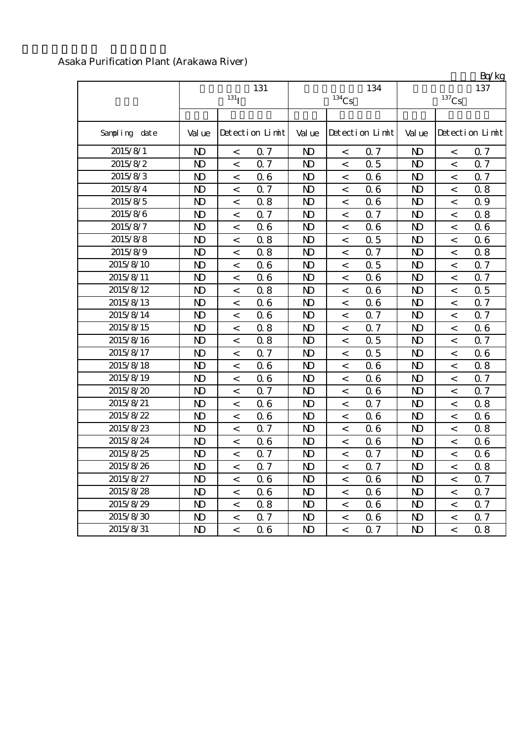| Asaka Purification Plant (Arakawa River) |  |
|------------------------------------------|--|
|                                          |  |

|               | 131<br>131 <sub>T</sub> |                          |                 |                | $^{134}\mathrm{Cs}$ | 134             | $\mathbf{D}$ $\mathbf{U}$ $\mathbf{K}$ $\mathbf{E}$<br>137<br>$^{137}\mathrm{Cs}$ |                |                 |  |
|---------------|-------------------------|--------------------------|-----------------|----------------|---------------------|-----------------|-----------------------------------------------------------------------------------|----------------|-----------------|--|
| Sampling date | Val ue                  |                          | Detection Limit | Val ue         |                     | Detection Limit | Val ue                                                                            |                | Detection Limit |  |
| 2015/8/1      | $\mathbf{N}$            | $\,<\,$                  | 0.7             | N <sub>D</sub> | $\lt$               | 0.7             | N <sub>D</sub>                                                                    | $\,<$          | 0.7             |  |
| 2015/8/2      | N <sub>D</sub>          | $\,<\,$                  | 0.7             | N <sub>D</sub> | $\,<\,$             | 0.5             | N)                                                                                | $\,<$          | 0.7             |  |
| 2015/8/3      | $\mathbf{D}$            | $\,<\,$                  | 06              | N <sub>D</sub> | $\,<\,$             | 06              | N <sub>D</sub>                                                                    | $\,<$          | 0.7             |  |
| 2015/8/4      | $\mathbf{D}$            | $\,<\,$                  | 0.7             | N <sub>D</sub> | $\,<\,$             | 06              | $\mathbf{D}$                                                                      | $\,<\,$        | 0.8             |  |
| 2015/8/5      | $\mathbf{D}$            | $\,<\,$                  | 0.8             | N <sub>D</sub> | $\,<\,$             | 06              | N <sub>D</sub>                                                                    | $\,<$          | Q 9             |  |
| 2015/8/6      | $\mathbf{D}$            | $\,<\,$                  | 0.7             | N <sub>D</sub> | $\,<\,$             | Q 7             | $\mathbf{D}$                                                                      | $\,<$          | 0.8             |  |
| 2015/8/7      | $\mathbf{D}$            | $\,<\,$                  | 06              | N <sub>D</sub> | $\,<\,$             | 06              | $\mathbf{N}$                                                                      | $\,<$          | 0.6             |  |
| 2015/8/8      | $\mathbf{D}$            | $\,<$                    | 0.8             | N <sub>D</sub> | $\,<\,$             | 0.5             | $\mathbf{D}$                                                                      | $\,<$          | 0.6             |  |
| 2015/8/9      | $\mathbf{D}$            | $\,<\,$                  | 0.8             | N <sub>D</sub> | $\,<\,$             | Q 7             | $\mathbf{D}$                                                                      | $\,<$          | 0.8             |  |
| 2015/8/10     | $\mathbf{D}$            | $\,<\,$                  | 06              | N <sub>D</sub> | $\,<$               | 0.5             | N <sub>D</sub>                                                                    | $\,<$          | 0.7             |  |
| 2015/8/11     | $\mathbf{D}$            | $\,<\,$                  | 06              | N <sub>D</sub> | $\,<\,$             | 06              | N <sub>D</sub>                                                                    | $\,<\,$        | 0.7             |  |
| 2015/8/12     | $\mathbf{D}$            | $\,<\,$                  | 0.8             | N <sub>D</sub> | $\,<$               | 06              | $\mathbf{N}$                                                                      | $\overline{a}$ | 0.5             |  |
| 2015/8/13     | $\mathbf{D}$            | $\overline{\phantom{0}}$ | 06              | N <sub>D</sub> | $\,<$               | 06              | N <sub>D</sub>                                                                    | $\overline{a}$ | 0.7             |  |
| 2015/8/14     | $\mathbf{D}$            | $\overline{\phantom{a}}$ | 06              | $\mathbf{D}$   | $\,<\,$             | Q 7             | $\mathbf{N}$                                                                      | $\,<$          | 0.7             |  |
| 2015/8/15     | $\mathbf{D}$            | $\,<\,$                  | 0.8             | N <sub>D</sub> | $\,<\,$             | Q 7             | $\mathbf{N}$                                                                      | $\,<\,$        | 0.6             |  |
| 2015/8/16     | N <sub>D</sub>          | $\,<\,$                  | 0.8             | N <sub>D</sub> | $\,<\,$             | 0.5             | N <sub>D</sub>                                                                    | $\,<\,$        | 0.7             |  |
| 2015/8/17     | N <sub>D</sub>          | $\,<\,$                  | 0.7             | $\mathbf{D}$   | $\,<$               | 0.5             | N <sub>D</sub>                                                                    | $\,<\,$        | 0.6             |  |
| 2015/8/18     | $\mathbf{D}$            | $\,<$                    | 06              | N <sub>D</sub> | $\,<$               | 06              | N <sub>D</sub>                                                                    | $\,<$          | 0.8             |  |
| 2015/8/19     | $\mathbf{D}$            | $\,<\,$                  | 06              | $\mathbf{D}$   | $\,<$               | 06              | $\mathbf{D}$                                                                      | $\,<\,$        | 0.7             |  |
| 2015/8/20     | $\mathbf{D}$            | $\,<\,$                  | 0.7             | N <sub>D</sub> | $\,<\,$             | 06              | N <sub>D</sub>                                                                    | $\,<$          | 0.7             |  |
| 2015/8/21     | $\mathbf{D}$            | $\,<\,$                  | 06              | N <sub>D</sub> | $\,<\,$             | Q 7             | N <sub>D</sub>                                                                    | $\,<$          | 0.8             |  |
| 2015/8/22     | $\mathbf{D}$            | $\,<\,$                  | 06              | N <sub>D</sub> | $\,<$               | 06              | $\mathbf{D}$                                                                      | $\,<$          | 0.6             |  |
| 2015/8/23     | $\mathbf{D}$            | $\,<\,$                  | 0.7             | N <sub>D</sub> | $\,<\,$             | 06              | $\mathbf{D}$                                                                      | $\,<$          | 0.8             |  |
| 2015/8/24     | $\mathbf{D}$            | $\,<\,$                  | 06              | N <sub>D</sub> | $\,<\,$             | 06              | $\mathbf{D}$                                                                      | $\,<$          | 0.6             |  |
| 2015/8/25     | $\mathbf{D}$            | $\,<\,$                  | 0.7             | $\mathbf{D}$   | $\,<\,$             | 0.7             | $\mathbf{D}$                                                                      | $\,<\,$        | 0.6             |  |
| 2015/8/26     | N <sub>D</sub>          | $\,<\,$                  | 0.7             | N <sub>D</sub> | $\,<\,$             | 0.7             | $\mathbf{D}$                                                                      | $\,<\,$        | 0.8             |  |
| 2015/8/27     | $\mathbf{D}$            | $\lt$                    | 06              | $\mathbf{D}$   | $\,<\,$             | 06              | $\mathbf{D}$                                                                      | $\prec$        | 0.7             |  |
| 2015/8/28     | $\mathbf{D}$            | $\,<\,$                  | 06              | $\mathbf{D}$   | $\,<\,$             | 06              | $\mathbf{D}$                                                                      | $\,<$          | 0.7             |  |
| 2015/8/29     | $\mathbf{D}$            | $\,<$                    | 0.8             | N <sub>D</sub> | $\,<$               | 06              | $\mathbf{D}$                                                                      | $\,<$          | 0.7             |  |
| 2015/8/30     | $\mathbf{D}$            | $\,<$                    | 0.7             | N <sub>D</sub> | $\,<\,$             | 06              | N <sub>D</sub>                                                                    | $\,<$          | 0.7             |  |
| 2015/8/31     | $\mathbf{D}$            | $\,<$                    | 06              | $\mathbf{D}$   | $\,<$               | 0.7             | N <sub>D</sub>                                                                    | $\,<$          | 0.8             |  |

 $Rq/kq$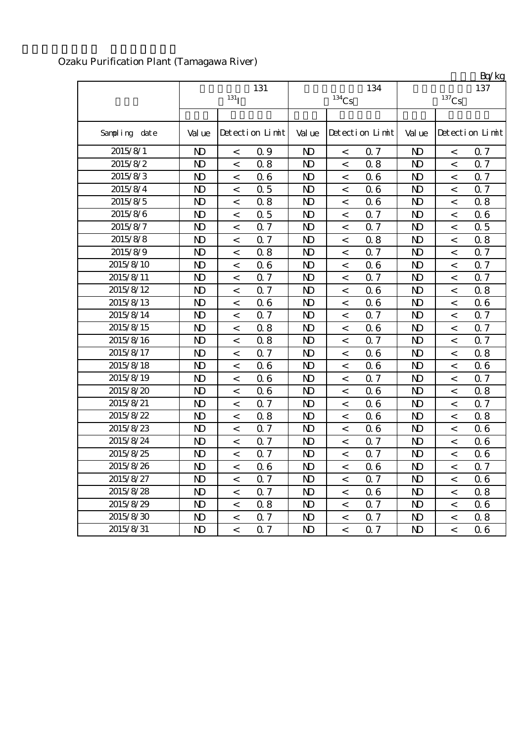|               |                |                          |                 |                |                     |                 |                |                          | Bq/kg           |
|---------------|----------------|--------------------------|-----------------|----------------|---------------------|-----------------|----------------|--------------------------|-----------------|
|               |                |                          | 131             |                |                     | 134             |                |                          | 137             |
|               |                | 131 <sub>I</sub>         |                 |                | $^{134}\mathrm{Cs}$ |                 |                | $^{137}\mathrm{Cs}$      |                 |
|               |                |                          |                 |                |                     |                 |                |                          |                 |
| Sampling date | Val ue         |                          | Detection Limit | Val ue         |                     | Detection Limit | Val ue         |                          | Detection Limit |
| 2015/8/1      | N <sub>D</sub> | $\overline{\phantom{0}}$ | 0.9             | $\mathbf{D}$   | $\lt$               | 0.7             | N <sub>D</sub> | $\lt$                    | 0.7             |
| 2015/8/2      | N <sub>D</sub> | $\,<\,$                  | 0.8             | $\mathbf{D}$   | $\,<$               | 0.8             | N <sub>D</sub> | $\,<$                    | 0.7             |
| 2015/8/3      | N <sub>D</sub> | $\,<$                    | 06              | $\mathbf{D}$   | $\,<$               | 06              | $\mathbf{D}$   | $\,<\,$                  | 0.7             |
| 2015/8/4      | N <sub>D</sub> | $\,<\,$                  | 0.5             | N <sub>D</sub> | $\,<\,$             | 06              | N <sub>D</sub> | $\,<$                    | 0.7             |
| 2015/8/5      | N <sub>D</sub> | $\,<$                    | 0.8             | N <sub>D</sub> | $\,<$               | 06              | N <sub>D</sub> | $\,<$                    | 0.8             |
| 2015/8/6      | N <sub>D</sub> | $\,<\,$                  | 0.5             | N <sub>D</sub> | $\,<\,$             | 0.7             | N <sub>D</sub> | $\,<\,$                  | 0.6             |
| 2015/8/7      | N <sub>D</sub> | $\,<$                    | 0.7             | $\mathbf{D}$   | $\,<$               | 0.7             | N <sub>D</sub> | $\,<$                    | 0.5             |
| 2015/8/8      | N <sub>D</sub> | $\,<\,$                  | 0.7             | $\mathbf{D}$   | $\,<$               | 0.8             | $\mathbf{D}$   | $\,<$                    | 0.8             |
| 2015/8/9      | N <sub>D</sub> | $\lt$                    | 0.8             | N <sub>D</sub> | $\lt$               | 0.7             | N <sub>D</sub> | $\prec$                  | 0.7             |
| 2015/8/10     | N <sub>D</sub> | $\,<\,$                  | 06              | N <sub>D</sub> | $\,<$               | 06              | N <sub>D</sub> | $\,<$                    | 0.7             |
| 2015/8/11     | N <sub>D</sub> | $\,<\,$                  | 0.7             | $\mathbf{D}$   | $\,<\,$             | 0.7             | N <sub>D</sub> | $\,<\,$                  | 0.7             |
| 2015/8/12     | N <sub>D</sub> | $\,<$                    | 0.7             | $\mathbf{D}$   | $\,<$               | 06              | N <sub>D</sub> | $\,<$                    | 0.8             |
| 2015/8/13     | N <sub>D</sub> | $\,<$                    | 06              | $\mathbf{D}$   | $\,<$               | 06              | N <sub>D</sub> | $\,<\,$                  | 0.6             |
| 2015/8/14     | N <sub>D</sub> | $\lt$                    | 0.7             | $\mathbf{D}$   | $\,<$               | 0.7             | N <sub>D</sub> | $\overline{\phantom{a}}$ | 0.7             |
| 2015/8/15     | N <sub>D</sub> | $\,<\,$                  | 0.8             | $\mathbf{D}$   | $\,<\,$             | 06              | N <sub>D</sub> | $\,<\,$                  | 0.7             |
| 2015/8/16     | N <sub>D</sub> | $\,<\,$                  | 0.8             | $\mathbf{D}$   | $\,<\,$             | 0.7             | $\mathbf{D}$   | $\,<\,$                  | 0.7             |
| 2015/8/17     | N <sub>D</sub> | $\,<\,$                  | 0.7             | N <sub>D</sub> | $\,<\,$             | 06              | N <sub>D</sub> | $\,<\,$                  | 0.8             |
| 2015/8/18     | N <sub>D</sub> | $\,<$                    | 06              | N <sub>D</sub> | $\,<$               | 06              | N <sub>D</sub> | $\,<$                    | 06              |
| 2015/8/19     | N <sub>D</sub> | $\,<\,$                  | 06              | $\mathbf{D}$   | $\,<\,$             | 0.7             | N <sub>D</sub> | $\,<\,$                  | 0.7             |
| 2015/8/20     | N <sub>D</sub> | $\,<$                    | 06              | $\mathbf{D}$   | $\,<$               | 06              | N <sub>D</sub> | $\,<$                    | 0.8             |
| 2015/8/21     | N <sub>D</sub> | $\,<\,$                  | 0.7             | N <sub>D</sub> | $\,<$               | 06              | $\mathbf{D}$   | $\,<\,$                  | 0.7             |
| 2015/8/22     | N <sub>D</sub> | $\prec$                  | 0.8             | N <sub>D</sub> | $\lt$               | 06              | N <sub>D</sub> | $\prec$                  | 0.8             |
| 2015/8/23     | N <sub>D</sub> | $\,<\,$                  | 0.7             | N <sub>D</sub> | $\,<$               | 06              | N <sub>D</sub> | $\,<$                    | 0.6             |
| 2015/8/24     | N <sub>D</sub> | $\,<$                    | 0.7             | $\mathbf{D}$   | $\,<$               | 0.7             | $\mathbf{D}$   | $\,<\,$                  | 06              |
| 2015/8/25     | N <sub>D</sub> | $\,<$                    | 0.7             | N <sub>D</sub> | $\,<\,$             | 0.7             | N <sub>D</sub> | $\,<$                    | 0.6             |
| 2015/8/26     | N)             | $\,<$                    | 06              | N)             | $\,<\,$             | 06              | N <sub>D</sub> | $\,<\,$                  | 0.7             |
| 2015/8/27     | N <sub>D</sub> | $\,<\,$                  | 0.7             | N <sub>D</sub> | $\,<$               | 0.7             | $\mathbf{D}$   | $\,<\,$                  | 0.6             |
| 2015/8/28     | $\mathbf{D}$   | $\,<$                    | 0.7             | N <sub>D</sub> | $\,<$               | 06              | N <sub>D</sub> | $\,<\,$                  | 0.8             |
| 2015/8/29     | $\mathbf{D}$   | $\,<$                    | 0.8             | $\mathbf{D}$   | $\,<\,$             | 0.7             | N <sub>D</sub> | $\,<$                    | 0.6             |
| 2015/8/30     | $\mathbf{D}$   | $\,<$                    | 0.7             | $\mathbf{D}$   | $\,<$               | 0.7             | N <sub>D</sub> | $\,<\,$                  | 0.8             |
| 2015/8/31     | $\mathbf{D}$   | $\,<\,$                  | 0.7             | $\mathbf{D}$   | $\,<$               | 0.7             | N <sub>D</sub> | $\,<\,$                  | 06              |

## Ozaku Purification Plant (Tamagawa River)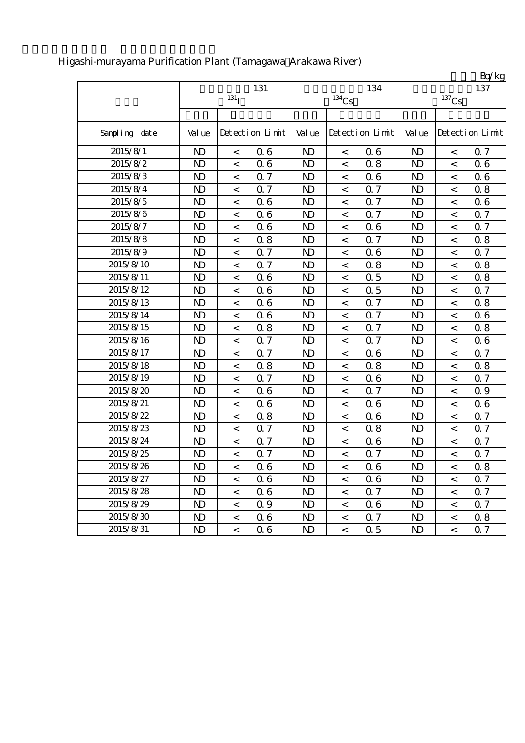|               |                |                    |                 |                |                          |                 |                |                     | Bq/kg           |
|---------------|----------------|--------------------|-----------------|----------------|--------------------------|-----------------|----------------|---------------------|-----------------|
|               |                |                    | 131             |                |                          | 134             |                |                     | 137             |
|               |                | $131$ <sup>T</sup> |                 |                | $134$ Cs                 |                 |                | $^{137}\mathrm{Cs}$ |                 |
|               |                |                    |                 |                |                          |                 |                |                     |                 |
| Sampling date | Val ue         |                    | Detection Limit | Val ue         |                          | Detection Limit | Val ue         |                     | Detection Limit |
| 2015/8/1      | $\mathbf{D}$   | $\,<$              | 06              | N <sub>D</sub> | $\,<$                    | 06              | $\mathbf{D}$   | $\,<$               | 0.7             |
| 2015/8/2      | $\mathbf{D}$   | $\,<$              | 06              | $\mathbf{D}$   | $\,<$                    | 0.8             | $\mathbf{D}$   | $\lt$               | 0.6             |
| 2015/8/3      | N <sub>D</sub> | $\,<$              | 0.7             | N <sub>D</sub> | $\,<$                    | 06              | $\mathbf{D}$   | $\,<$               | 0.6             |
| 2015/8/4      | $\mathbf{D}$   | $\,<$              | Q 7             | N <sub>D</sub> | $\,<$                    | 0.7             | N <sub>D</sub> | $\,<$               | 0.8             |
| 2015/8/5      | $\mathbf{D}$   | $\,<$              | 06              | $\mathbf{D}$   | $\,<$                    | 0.7             | $\mathbf{D}$   | $\,<$               | 0.6             |
| 2015/8/6      | N <sub>D</sub> | $\,<$              | 06              | N <sub>D</sub> | $\,<$                    | 0.7             | N <sub>D</sub> | $\,<$               | 0.7             |
| 2015/8/7      | $\mathbf{D}$   | $\,<$              | 06              | N <sub>D</sub> | $\,<$                    | 06              | N <sub>D</sub> | $\,<$               | 0.7             |
| 2015/8/8      | $\mathbf{D}$   | $\,<$              | 0.8             | N <sub>D</sub> | $\,<\,$                  | 0.7             | N <sub>D</sub> | $\,<$               | 0.8             |
| 2015/8/9      | $\mathbf{D}$   | $\,<$              | 0.7             | N <sub>D</sub> | $\,<$                    | 06              | N <sub>D</sub> | $\,<$               | 0.7             |
| 2015/8/10     | $\mathbf{D}$   | $\,<$              | 0.7             | $\mathbf{D}$   | $\,<$                    | 0.8             | $\mathbf{D}$   | $\,<$               | 0.8             |
| 2015/8/11     | $\mathbf{D}$   | $\,<$              | 06              | $\mathbf{D}$   | $\,<\,$                  | 0.5             | N <sub>D</sub> | $\,<$               | 0.8             |
| 2015/8/12     | $\mathbf{D}$   | $\,<$              | 06              | N <sub>D</sub> | $\,<$                    | 0.5             | N <sub>D</sub> | $\,<\,$             | 0.7             |
| 2015/8/13     | $\mathbf{D}$   | $\,<$              | 06              | $\mathbf{D}$   | $\,<$                    | Q 7             | $\mathbf{N}$   | $\,<$               | 0.8             |
| 2015/8/14     | N <sub>D</sub> | $\,<$              | 06              | N <sub>D</sub> | $\,<$                    | 0.7             | N <sub>D</sub> | $\,<$               | 0.6             |
| 2015/8/15     | $\mathbf{D}$   | $\,<$              | 0.8             | N <sub>D</sub> | $\,<$                    | Q 7             | N <sub>D</sub> | $\,<$               | 0.8             |
| 2015/8/16     | $\mathbf{D}$   | $\,<$              | 0.7             | $\mathbf{D}$   | $\,<$                    | Q 7             | $\mathbf{D}$   | $\,<$               | 0.6             |
| 2015/8/17     | $\mathbf{D}$   | $\,<$              | 0.7             | N <sub>D</sub> | $\,<$                    | 06              | N <sub>D</sub> | $\,<$               | 0.7             |
| 2015/8/18     | $\mathbf{D}$   | $\,<$              | 0.8             | $\mathbf{D}$   | $\,<$                    | 0.8             | $\mathbf{D}$   | $\,<$               | 0.8             |
| 2015/8/19     | N <sub>D</sub> | $\,<$              | 0.7             | N <sub>D</sub> | $\,<$                    | 06              | N <sub>D</sub> | $\,<$               | 0.7             |
| 2015/8/20     | $\mathbf{D}$   | $\,<$              | 06              | N <sub>D</sub> | $\,<$                    | 0.7             | N <sub>D</sub> | $\,<$               | 0.9             |
| 2015/8/21     | $\mathbf{D}$   | $\,<$              | 06              | $\mathbf{D}$   | $\,<\,$                  | 06              | $\mathbf{D}$   | $\,<$               | 0.6             |
| 2015/8/22     | $\mathbf{D}$   | $\,<$              | 0.8             | N <sub>D</sub> | $\,<$                    | 06              | N <sub>D</sub> | $\,<$               | 0.7             |
| 2015/8/23     | N <sub>D</sub> | $\,<$              | 0.7             | N <sub>D</sub> | $\,<\,$                  | 0.8             | N <sub>D</sub> | $\,<\,$             | 0.7             |
| 2015/8/24     | $\mathbf{D}$   | $\,<$              | 0.7             | N <sub>D</sub> | $\,<\,$                  | 06              | N <sub>D</sub> | $\,<$               | 0.7             |
| 2015/8/25     | $\mathbf{D}$   | $\,<$              | 0.7             | N <sub>D</sub> | $\,<$                    | 0.7             | N <sub>D</sub> | $\,<$               | 0.7             |
| 2015/8/26     | $\mathbf{D}$   | $\,<$              | 06              | $\mathbf{D}$   | $\,<\,$                  | 06              | $\mathbf{N}$   | $\,<$               | 0.8             |
| 2015/8/27     | N)             | $\,<\,$            | 06              | ND.            | $\,<\,$                  | 06              | N <sub>D</sub> | $\lt$               | 0.7             |
| 2015/8/28     | N <sub>D</sub> | $\,<$              | 06              | N <sub>D</sub> | $\overline{\phantom{a}}$ | 0.7             | N <sub>D</sub> | $\,<$               | 0.7             |
| 2015/8/29     | N <sub>D</sub> | $\,<\,$            | 0.9             | N <sub>D</sub> | $\,<$                    | 06              | N <sub>D</sub> | $\,<\,$             | 0.7             |
| 2015/8/30     | N <sub>D</sub> | $\,<\,$            | 06              | N <sub>D</sub> | $\,<$                    | 0.7             | N <sub>D</sub> | $\,<\,$             | 0.8             |
| 2015/8/31     | $\mathbf{D}$   | $\lt$              | 06              | $\mathbf{D}$   | $\,<\,$                  | 0.5             | N <sub>D</sub> | $\,<$               | 0.7             |

## Higashi-murayama Purification Plant (Tamagawa Arakawa River)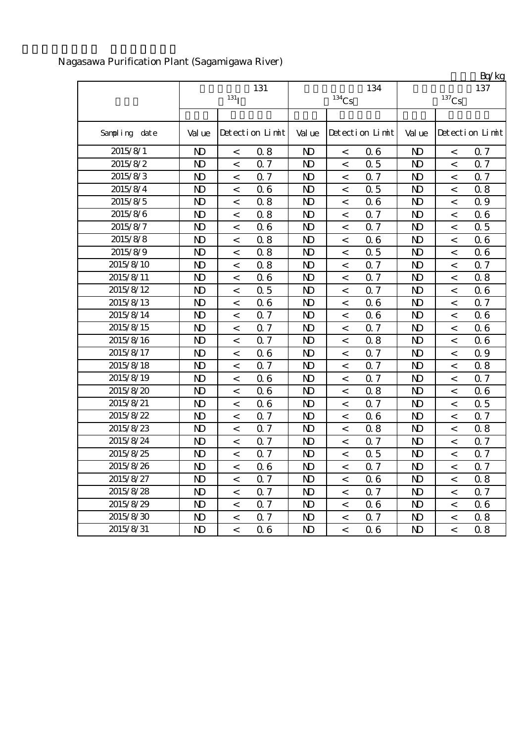|               |                |                          |                 |                |                     |                 |                         |                          | Bq/kg           |
|---------------|----------------|--------------------------|-----------------|----------------|---------------------|-----------------|-------------------------|--------------------------|-----------------|
|               |                |                          | 131             |                |                     | 134             |                         |                          | 137             |
|               |                | $131$ <sup>T</sup>       |                 |                | $^{134}\mathrm{Cs}$ |                 |                         | $^{137}\mathrm{Cs}$      |                 |
|               |                |                          |                 |                |                     |                 |                         |                          |                 |
| Sampling date | Val ue         |                          | Detection Limit | Val ue         |                     | Detection Limit | Val ue                  |                          | Detection Limit |
| 2015/8/1      | $\mathbf{D}$   | $\,<$                    | 0.8             | $\mathbf{D}$   | $\,<$               | 06              | $\mathbf{D}$            | $\,<$                    | 0.7             |
| 2015/8/2      | $\mathbf{D}$   | $\,<$                    | 0.7             | $\mathbf{D}$   | $\,<$               | 0.5             | $\mathbf{D}$            | $\lt$                    | 0.7             |
| 2015/8/3      | $\mathbf{D}$   | $\,<$                    | 0.7             | N <sub>D</sub> | $\,<$               | 0.7             | $\mathbf{D}$            | $\,<$                    | 0.7             |
| 2015/8/4      | $\mathbf{D}$   | $\,<$                    | 06              | N <sub>D</sub> | $\,<$               | 0.5             | $\mathbf{D}$            | $\,<$                    | 0.8             |
| 2015/8/5      | $\mathbf{D}$   | $\,<$                    | 0.8             | $\mathbf{D}$   | $\,<$               | 06              | $\mathbf{D}$            | $\,<$                    | 0.9             |
| 2015/8/6      | $\mathbf{D}$   | $\,<$                    | 0.8             | N <sub>D</sub> | $\,<$               | 0.7             | $\mathbf{D}$            | $\,<$                    | 0.6             |
| 2015/8/7      | $\mathbf{D}$   | $\,<$                    | 06              | N <sub>D</sub> | $\,<$               | 0.7             | $\mathbf{D}$            | $\,<$                    | 0.5             |
| 2015/8/8      | $\mathbf{D}$   | $\,<$                    | 0.8             | N <sub>D</sub> | $\,<$               | 06              | $\mathbf{D}$            | $\,<$                    | 0.6             |
| 2015/8/9      | $\mathbf{D}$   | $\,<$                    | 0.8             | N <sub>D</sub> | $\,<$               | 0.5             | $\mathbf{D}$            | $\,<$                    | 0.6             |
| 2015/8/10     | $\mathbf{D}$   | $\,<$                    | 0.8             | $\mathbf{D}$   | $\,<$               | Q 7             | $\mathbf{D}$            | $\,<$                    | 0.7             |
| 2015/8/11     | $\mathbf{D}$   | $\,<$                    | 06              | $\mathbf{D}$   | $\,<$               | Q 7             | $\mathbf{D}$            | $\,<$                    | 0.8             |
| 2015/8/12     | $\mathbf{D}$   | $\,<$                    | 0.5             | N <sub>D</sub> | $\,<$               | 0.7             | $\mathbf{D}$            | $\,<$                    | 0.6             |
| 2015/8/13     | $\mathbf{D}$   | $\,<$                    | 06              | $\mathbf{D}$   | $\,<$               | 06              | $\mathbf{D}$            | $\,<\,$                  | 0.7             |
| 2015/8/14     | N <sub>D</sub> | $\,<$                    | 0.7             | N <sub>D</sub> | $\,<$               | 06              | $\mathbf{D}$            | $\,<$                    | 0.6             |
| 2015/8/15     | $\mathbf{D}$   | $\,<$                    | 0.7             | N <sub>D</sub> | $\,<$               | 0.7             | $\mathbf{D}$            | $\,<$                    | 0.6             |
| 2015/8/16     | $\mathbf{D}$   | $\,<$                    | Q 7             | $\mathbf{D}$   | $\,<$               | 0.8             | $\mathbf{D}$            | $\,<$                    | 0.6             |
| 2015/8/17     | $\mathbf{D}$   | $\,<$                    | 06              | N <sub>D</sub> | $\,<$               | Q 7             | $\mathbf{D}$            | $\,<$                    | 0.9             |
| 2015/8/18     | $\mathbf{D}$   | $\,<$                    | 0.7             | N <sub>D</sub> | $\,<$               | 0.7             | $\mathbf{D}$            | $\,<$                    | 0.8             |
| 2015/8/19     | N <sub>D</sub> | $\,<$                    | 06              | N <sub>D</sub> | $\,<$               | 0.7             | $\mathbf{D}$            | $\,<$                    | 0.7             |
| 2015/8/20     | $\mathbf{D}$   | $\,<$                    | 06              | N <sub>D</sub> | $\,<$               | 0.8             | $\mathbf{D}$            | $\,<$                    | 0.6             |
| 2015/8/21     | $\mathbf{D}$   | $\,<$                    | 06              | $\mathbf{D}$   | $\,<$               | 0.7             | $\mathbf{D}$            | $\,<$                    | 0.5             |
| 2015/8/22     | $\mathbf{D}$   | $\,<$                    | 0.7             | $\mathbf{D}$   | $\,<$               | 06              | $\mathbf{D}$            | $\,<$                    | 0.7             |
| 2015/8/23     | N <sub>D</sub> | $\,<$                    | 0.7             | N <sub>D</sub> | $\,<$               | 0.8             | $\mathbf{D}$            | $\,<\,$                  | 0.8             |
| 2015/8/24     | $\mathbf{D}$   | $\,<$                    | 0.7             | N <sub>D</sub> | $\,<$               | 0.7             | $\mathbf{D}$            | $\,<$                    | 0.7             |
| 2015/8/25     | $\mathbf{D}$   | $\,<$                    | 0.7             | N <sub>D</sub> | $\,<$               | 0.5             | $\mathbf{D}$            | $\,<$                    | 0.7             |
| 2015/8/26     | $\mathbf{N}$   | $\,<$                    | 06              | $\mathbf{D}$   | $\lt$               | 0.7             | $\mathbf{N} \mathbf{D}$ | $\,<$                    | 0.7             |
| 2015/8/27     | ND.            | $\lt$                    | 0.7             | N)             | $\,<\,$             | 06              | N <sub>D</sub>          | $\,<\,$                  | 0.8             |
| 2015/8/28     | $\mathbf{D}$   | $\,<$                    | 0.7             | N <sub>D</sub> | $\,<\,$             | 0.7             | $\mathbf{D}$            | $\overline{\phantom{a}}$ | 0.7             |
| 2015/8/29     | $\mathbf{D}$   | $\,<$                    | 0.7             | N <sub>D</sub> | $\,<$               | 06              | $\mathbf{D}$            | $\,<\,$                  | 0.6             |
| 2015/8/30     | $\mathbf{D}$   | $\,<$                    | 0.7             | N <sub>D</sub> | $\,<$               | Q 7             | $\mathbf{D}$            | $\,<\,$                  | 0.8             |
| 2015/8/31     | $\mathbf{D}$   | $\overline{\phantom{a}}$ | 06              | $\mathbf{D}$   | $\,<\,$             | 06              | N <sub>D</sub>          | $\lt$                    | 0.8             |

## Nagasawa Purification Plant (Sagamigawa River)